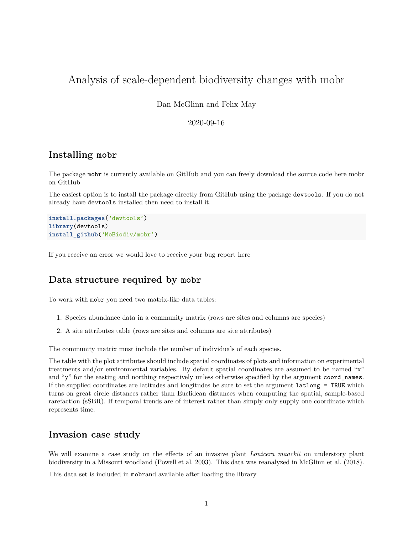# Analysis of scale-dependent biodiversity changes with mobr

Dan McGlinn and Felix May

#### 2020-09-16

## **Installing mobr**

The package mobr is currently available on GitHub and you can freely download the source code here [mobr](https://github.com/MoBiodiv/mobr) [on GitHub](https://github.com/MoBiodiv/mobr)

The easiest option is to install the package directly from GitHub using the package devtools. If you do not already have devtools installed then need to install it.

```
install.packages('devtools')
library(devtools)
install_github('MoBiodiv/mobr')
```
If you receive an error we would love to receive your bug report [here](https://github.com/MoBiodiv/mobr/issues)

## **Data structure required by mobr**

To work with mobr you need two matrix-like data tables:

- 1. Species abundance data in a community matrix (rows are sites and columns are species)
- 2. A site attributes table (rows are sites and columns are site attributes)

The community matrix must include the number of individuals of each species.

The table with the plot attributes should include spatial coordinates of plots and information on experimental treatments and/or environmental variables. By default spatial coordinates are assumed to be named "x" and "y" for the easting and northing respectively unless otherwise specified by the argument coord names. If the supplied coordinates are latitudes and longitudes be sure to set the argument latlong = TRUE which turns on great circle distances rather than Euclidean distances when computing the spatial, sample-based rarefaction (sSBR). If temporal trends are of interest rather than simply only supply one coordinate which represents time.

## **Invasion case study**

We will examine a case study on the effects of an invasive plant *Lonicera maackii* on understory plant biodiversity in a Missouri woodland (Powell et al. 2003). This data was reanalyzed in McGlinn et al. (2018).

This data set is included in mobrand available after loading the library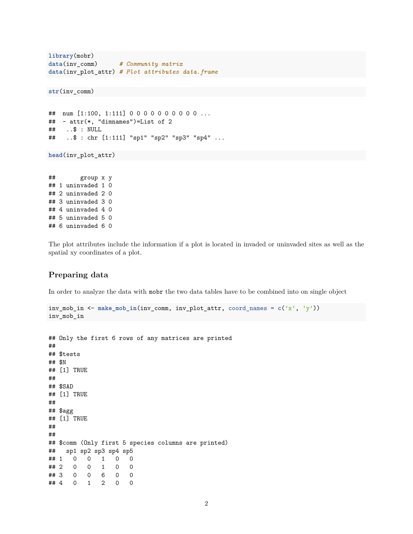```
library(mobr)
data(inv_comm) # Community matrix
data(inv_plot_attr) # Plot attributes data.frame
str(inv_comm)
## num [1:100, 1:111] 0 0 0 0 0 0 0 0 0 0 ...
## - attr(*, "dimnames")=List of 2
## ..$ : NULL
## ..$ : chr [1:111] "sp1" "sp2" "sp3" "sp4" ...
head(inv_plot_attr)
## group x y
## 1 uninvaded 1 0
## 2 uninvaded 2 0
## 3 uninvaded 3 0
## 4 uninvaded 4 0
## 5 uninvaded 5 0
```
The plot attributes include the information if a plot is located in invaded or uninvaded sites as well as the spatial xy coordinates of a plot.

#### **Preparing data**

## 6 uninvaded 6 0

In order to analyze the data with mobr the two data tables have to be combined into on single object

```
inv_mob_in <- make_mob_in(inv_comm, inv_plot_attr, coord_names = c('x', 'y'))
inv_mob_in
## Only the first 6 rows of any matrices are printed
##
## $tests
```

```
## $N
## [1] TRUE
##
## $SAD
## [1] TRUE
##
## $agg
## [1] TRUE
##
##
## $comm (Only first 5 species columns are printed)
## sp1 sp2 sp3 sp4 sp5
## 1 0 0 1 0 0
## 2 0 0 1 0 0
## 3 0 0 6 0 0
## 4 0 1 2 0 0
```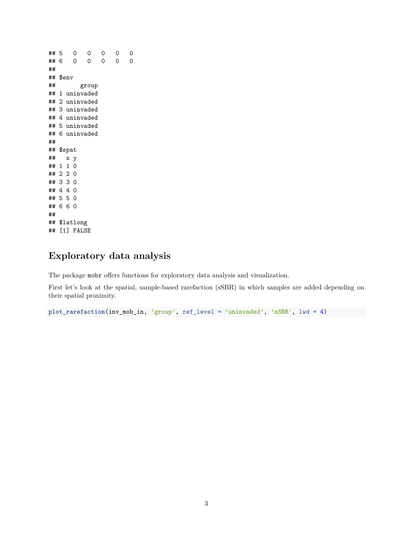| ##       | - 5          |                | 0         | 0              | 0 | 0 | 0 |
|----------|--------------|----------------|-----------|----------------|---|---|---|
| ##       | - 6          |                | 0         | 0              | 0 | 0 | 0 |
| ##       |              |                |           |                |   |   |   |
| ##       | $\$$ env     |                |           |                |   |   |   |
| ##       |              |                |           | group          |   |   |   |
|          |              | ## 1 uninvaded |           |                |   |   |   |
|          |              |                |           | ## 2 uninvaded |   |   |   |
|          |              |                |           | ## 3 uninvaded |   |   |   |
|          |              |                |           | ## 4 uninvaded |   |   |   |
|          |              |                |           | ## 5 uninvaded |   |   |   |
| ##       |              |                |           | 6 uninvaded    |   |   |   |
| ##       |              |                |           |                |   |   |   |
|          | ## \$spat    |                |           |                |   |   |   |
| ##       |              | x y            |           |                |   |   |   |
| ## 1     |              | 1 0            |           |                |   |   |   |
| ## 2 2 0 |              |                |           |                |   |   |   |
| ## 3 3 0 |              |                |           |                |   |   |   |
| ## 4 4 0 |              |                |           |                |   |   |   |
| ##       | 550          |                |           |                |   |   |   |
| ##       | 660          |                |           |                |   |   |   |
| ##       |              |                |           |                |   |   |   |
|          | ## \$latlong |                |           |                |   |   |   |
| ##       |              |                | [1] FALSE |                |   |   |   |

# **Exploratory data analysis**

The package mobr offers functions for exploratory data analysis and visualization.

First let's look at the spatial, sample-based rarefaction (sSBR) in which samples are added depending on their spatial proximity.

**plot\_rarefaction**(inv\_mob\_in, 'group', ref\_level = 'uninvaded', 'sSBR', lwd = 4)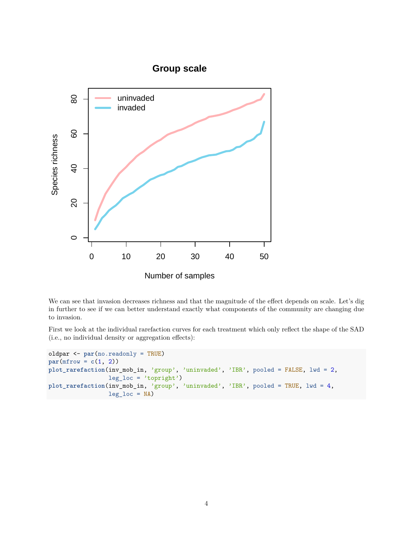

We can see that invasion decreases richness and that the magnitude of the effect depends on scale. Let's dig in further to see if we can better understand exactly what components of the community are changing due to invasion.

First we look at the individual rarefaction curves for each treatment which only reflect the shape of the SAD (i.e., no individual density or aggregation effects):

```
oldpar <- par(no.readonly = TRUE)
par(mfrow = c(1, 2))plot_rarefaction(inv_mob_in, 'group', 'uninvaded', 'IBR', pooled = FALSE, lwd = 2,
                 leg\_loc = 'topright')plot_rarefaction(inv_mob_in, 'group', 'uninvaded', 'IBR', pooled = TRUE, lwd = 4,
                 leg\_loc = NA)
```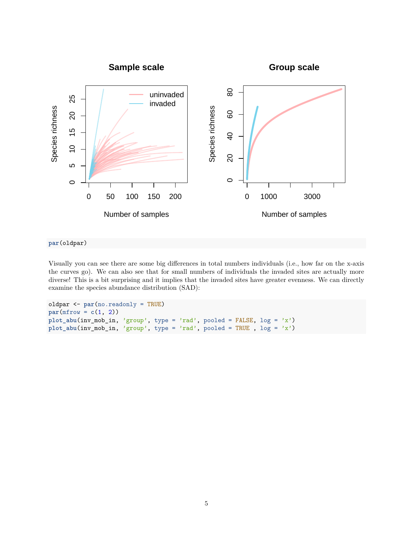

#### **par**(oldpar)

Visually you can see there are some big differences in total numbers individuals (i.e., how far on the x-axis the curves go). We can also see that for small numbers of individuals the invaded sites are actually more diverse! This is a bit surprising and it implies that the invaded sites have greater evenness. We can directly examine the species abundance distribution (SAD):

oldpar <- **par**(no.readonly = TRUE)  $par(mfrow = c(1, 2))$  $plot_abu(inv_mob_in, 'group', type = 'rad', pooled = FALSE, log = 'x')$  $plot_abu(inv_mob_in, 'group', type = 'rad', pooled = TRUE, log = 'x')$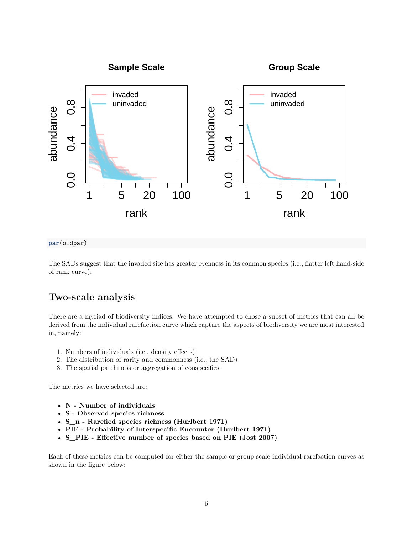

#### **par**(oldpar)

The SADs suggest that the invaded site has greater evenness in its common species (i.e., flatter left hand-side of rank curve).

## **Two-scale analysis**

There are a myriad of biodiversity indices. We have attempted to chose a subset of metrics that can all be derived from the individual rarefaction curve which capture the aspects of biodiversity we are most interested in, namely:

- 1. Numbers of individuals (i.e., density effects)
- 2. The distribution of rarity and commonness (i.e., the SAD)
- 3. The spatial patchiness or aggregation of conspecifics.

The metrics we have selected are:

- **N Number of individuals**
- **S Observed species richness**
- **S\_n Rarefied species richness (Hurlbert 1971)**
- **PIE Probability of Interspecific Encounter (Hurlbert 1971)**
- **S\_PIE Effective number of species based on PIE (Jost 2007)**

Each of these metrics can be computed for either the sample or group scale individual rarefaction curves as shown in the figure below: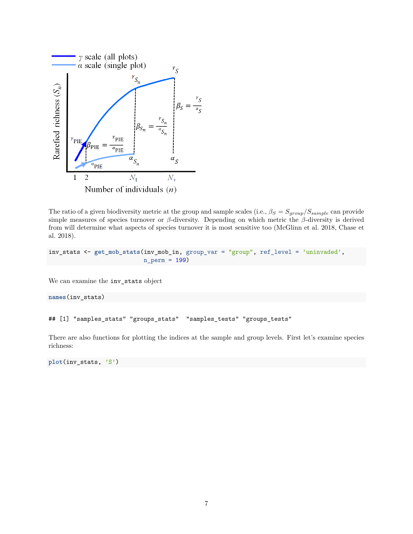

The ratio of a given biodiversity metric at the group and sample scales (i.e.,  $\beta_S = S_{group}/S_{sample}$  can provide simple measures of species turnover or *β*-diversity. Depending on which metric the *β*-diversity is derived from will determine what aspects of species turnover it is most sensitive too (McGlinn et al. 2018, Chase et al. 2018).

```
inv_stats <- get_mob_stats(inv_mob_in, group_var = "group", ref_level = 'uninvaded',
                           n_perm = 199)
```
We can examine the inv\_stats object

**names**(inv\_stats)

## [1] "samples\_stats" "groups\_stats" "samples\_tests" "groups\_tests"

There are also functions for plotting the indices at the sample and group levels. First let's examine species richness:

**plot**(inv\_stats, 'S')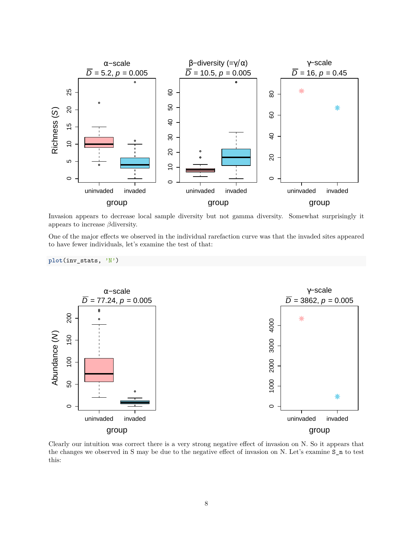

Invasion appears to decrease local sample diversity but not gamma diversity. Somewhat surprisingly it appears to increase *β*diversity.

One of the major effects we observed in the individual rarefaction curve was that the invaded sites appeared to have fewer individuals, let's examine the test of that:

**plot**(inv\_stats, 'N')



Clearly our intuition was correct there is a very strong negative effect of invasion on N. So it appears that the changes we observed in S may be due to the negative effect of invasion on N. Let's examine S\_n to test this: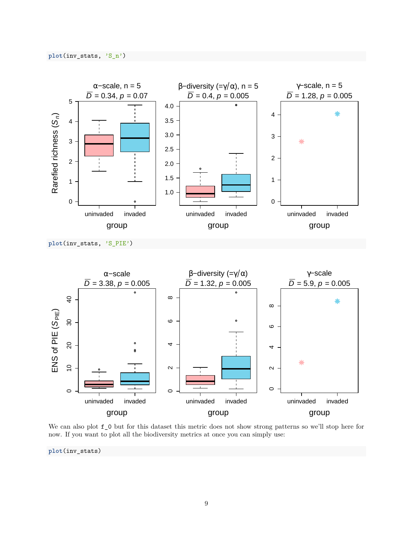



We can also plot  $f_0$  but for this dataset this metric does not show strong patterns so we'll stop here for now. If you want to plot all the biodiversity metrics at once you can simply use:

**plot**(inv\_stats)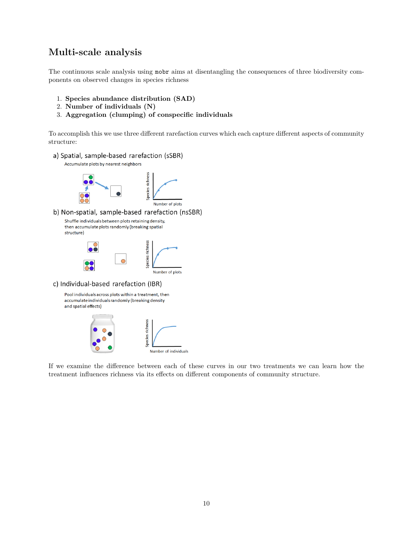# **Multi-scale analysis**

The continuous scale analysis using mobr aims at disentangling the consequences of three biodiversity components on observed changes in species richness

- 1. **Species abundance distribution (SAD)**
- 2. **Number of individuals (N)**
- 3. **Aggregation (clumping) of conspecific individuals**

To accomplish this we use three different rarefaction curves which each capture different aspects of community structure:

a) Spatial, sample-based rarefaction (sSBR) Accumulate plots by nearest neighbors





If we examine the difference between each of these curves in our two treatments we can learn how the treatment influences richness via its effects on different components of community structure.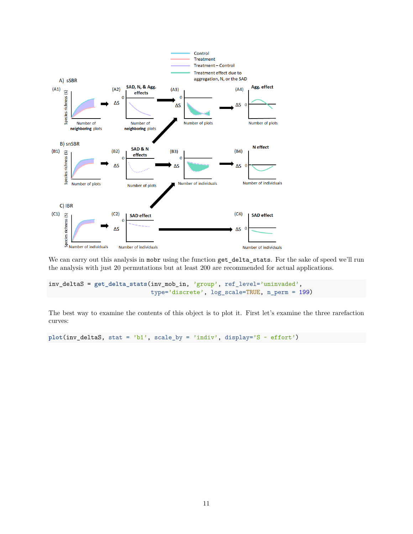

We can carry out this analysis in mobr using the function get\_delta\_stats. For the sake of speed we'll run the analysis with just 20 permutations but at least 200 are recommended for actual applications.

```
inv_deltaS = get_delta_stats(inv_mob_in, 'group', ref_level='uninvaded',
                             type='discrete', log_scale=TRUE, n_perm = 199)
```
The best way to examine the contents of this object is to plot it. First let's examine the three rarefaction curves:

**plot**(inv\_deltaS, stat = 'b1', scale\_by = 'indiv', display='S ~ effort')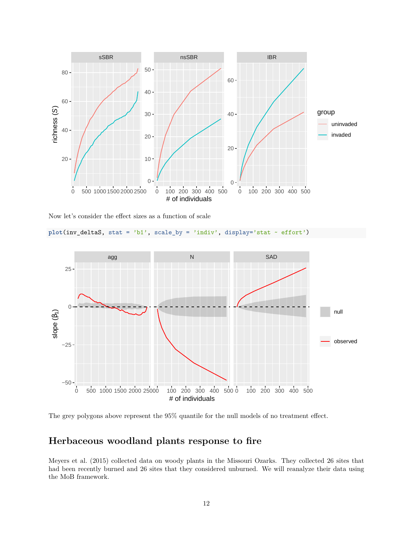

Now let's consider the effect sizes as a function of scale

**plot**(inv\_deltaS, stat = 'b1', scale\_by = 'indiv', display='stat ~ effort')



The grey polygons above represent the 95% quantile for the null models of no treatment effect.

#### **Herbaceous woodland plants response to fire**

Meyers et al. (2015) collected data on woody plants in the Missouri Ozarks. They collected 26 sites that had been recently burned and 26 sites that they considered unburned. We will reanalyze their data using the MoB framework.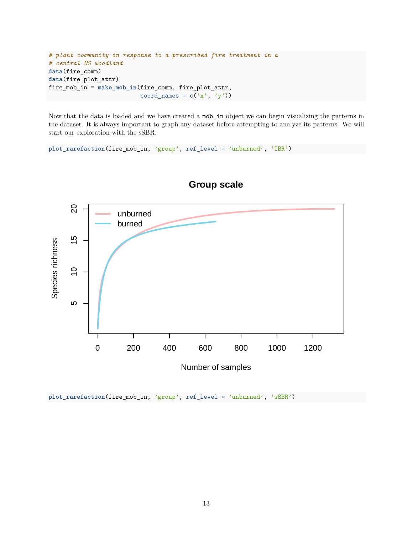```
# plant community in response to a prescribed fire treatment in a
# central US woodland
data(fire_comm)
data(fire_plot_attr)
fire_mob_in = make_mob_in(fire_comm, fire_plot_attr,
                          coord\_names = c('x', 'y'))
```
Now that the data is loaded and we have created a mob\_in object we can begin visualizing the patterns in the dataset. It is always important to graph any dataset before attempting to analyze its patterns. We will start our exploration with the sSBR.

**plot\_rarefaction**(fire\_mob\_in, 'group', ref\_level = 'unburned', 'IBR')



**Group scale**

**plot\_rarefaction**(fire\_mob\_in, 'group', ref\_level = 'unburned', 'sSBR')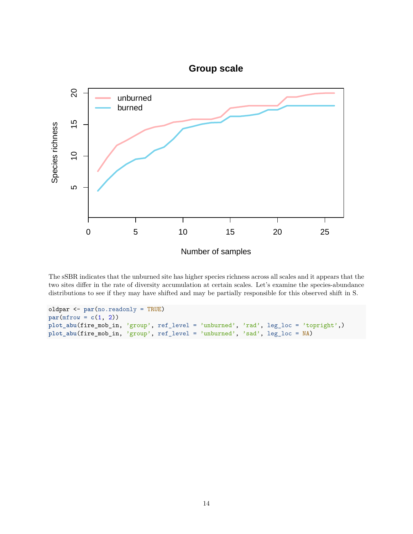

The sSBR indicates that the unburned site has higher species richness across all scales and it appears that the two sites differ in the rate of diversity accumulation at certain scales. Let's examine the species-abundance distributions to see if they may have shifted and may be partially responsible for this observed shift in S.

```
oldpar <- par(no.readonly = TRUE)
par(mfrow = c(1, 2))plot_abu(fire_mob_in, 'group', ref_level = 'unburned', 'rad', leg_loc = 'topright',)
plot_abu(fire_mob_in, 'group', ref_level = 'unburned', 'sad', leg_loc = NA)
```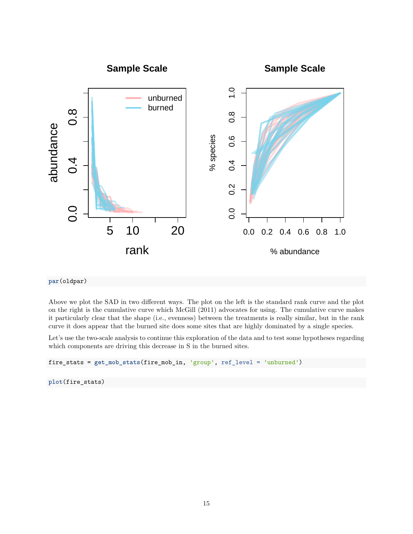

#### **par**(oldpar)

Above we plot the SAD in two different ways. The plot on the left is the standard rank curve and the plot on the right is the cumulative curve which McGill (2011) advocates for using. The cumulative curve makes it particularly clear that the shape (i.e., evenness) between the treatments is really similar, but in the rank curve it does appear that the burned site does some sites that are highly dominated by a single species.

Let's use the two-scale analysis to continue this exploration of the data and to test some hypotheses regarding which components are driving this decrease in S in the burned sites.

fire\_stats = **get\_mob\_stats**(fire\_mob\_in, 'group', ref\_level = 'unburned')

**plot**(fire\_stats)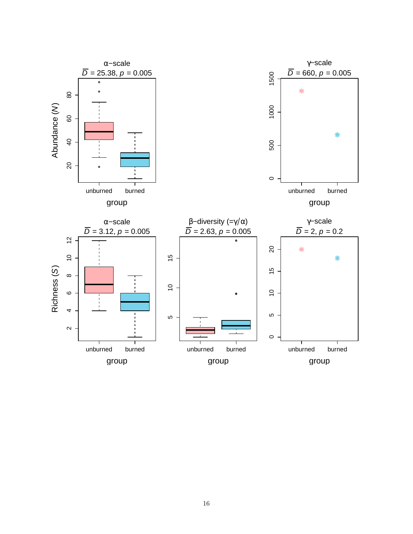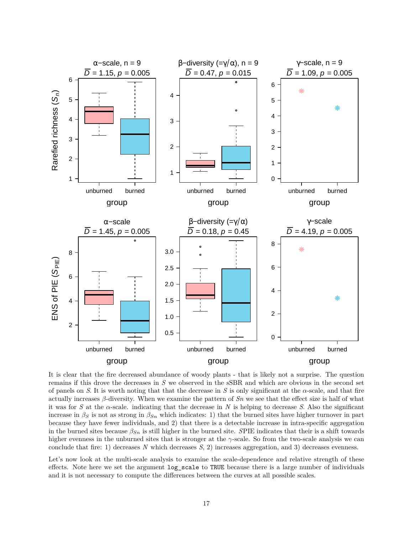

It is clear that the fire decreased abundance of woody plants - that is likely not a surprise. The question remains if this drove the decreases in *S* we observed in the sSBR and which are obvious in the second set of panels on *S*. It is worth noting that that the decrease in *S* is only significant at the  $\alpha$ -scale, and that fire actually increases *β*-diversity. When we examine the pattern of *Sn* we see that the effect size is half of what it was for *S* at the  $\alpha$ -scale. indicating that the decrease in *N* is helping to decrease *S*. Also the significant increase in  $\beta_S$  is not as strong in  $\beta_{Sn}$  which indicates: 1) that the burned sites have higher turnover in part because they have fewer individuals, and 2) that there is a detectable increase in intra-specific aggregation in the burned sites because  $\beta_{Sn}$  is still higher in the burned site. *SPIE* indicates that their is a shift towards higher evenness in the unburned sites that is stronger at the *γ*-scale. So from the two-scale analysis we can conclude that fire: 1) decreases *N* which decreases *S*, 2) increases aggregation, and 3) decreases evenness.

Let's now look at the multi-scale analysis to examine the scale-dependence and relative strength of these effects. Note here we set the argument log\_scale to TRUE because there is a large number of individuals and it is not necessary to compute the differences between the curves at all possible scales.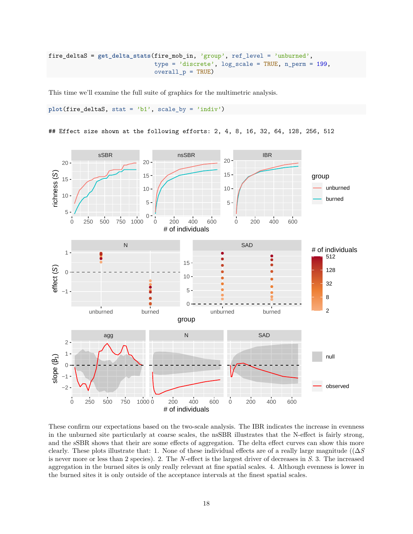```
fire_deltaS = get_delta_stats(fire_mob_in, 'group', ref_level = 'unburned',
                              type = 'discrete', log-scale = TRUE, n-perm = 199,overall_p = TRUE)
```
This time we'll examine the full suite of graphics for the multimetric analysis.

```
plot(fire_deltaS, stat = 'b1', scale_by = 'indiv')
```

```
## Effect size shown at the following efforts: 2, 4, 8, 16, 32, 64, 128, 256, 512
```


These confirm our expectations based on the two-scale analysis. The IBR indicates the increase in evenness in the unburned site particularly at coarse scales, the nsSBR illustrates that the N-effect is fairly strong, and the sSBR shows that their are some effects of aggregation. The delta effect curves can show this more clearly. These plots illustrate that: 1. None of these individual effects are of a really large magnitude ((∆*S* is never more or less than 2 species). 2. The *N*-effect is the largest driver of decreases in *S*. 3. The increased aggregation in the burned sites is only really relevant at fine spatial scales. 4. Although evenness is lower in the burned sites it is only outside of the acceptance intervals at the finest spatial scales.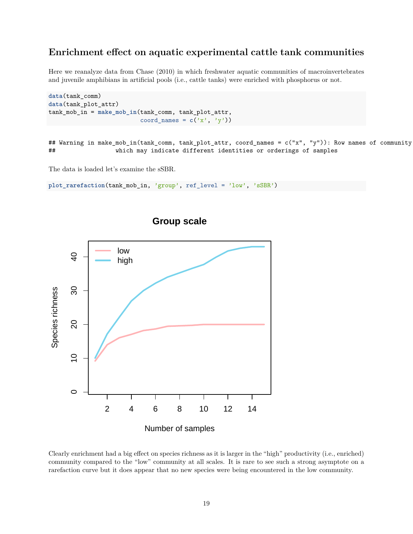## **Enrichment effect on aquatic experimental cattle tank communities**

Here we reanalyze data from Chase (2010) in which freshwater aquatic communities of macroinvertebrates and juvenile amphibians in artificial pools (i.e., cattle tanks) were enriched with phosphorus or not.

```
data(tank_comm)
data(tank_plot_attr)
tank_mob_in = make_mob_in(tank_comm, tank_plot_attr,
                          coord_names = c('x', 'y'))
```

```
## Warning in make_mob_in(tank_comm, tank_plot_attr, coord_names = c("x", "y")): Row names of community
## which may indicate different identities or orderings of samples
```
The data is loaded let's examine the sSBR.

**plot\_rarefaction**(tank\_mob\_in, 'group', ref\_level = 'low', 'sSBR')



## **Group scale**

Clearly enrichment had a big effect on species richness as it is larger in the "high" productivity (i.e., enriched) community compared to the "low" community at all scales. It is rare to see such a strong asymptote on a rarefaction curve but it does appear that no new species were being encountered in the low community.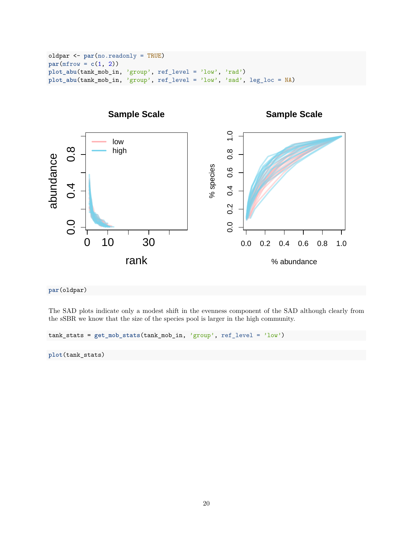```
oldpar <- par(no.readonly = TRUE)
par(mfrow = c(1, 2))
plot_abu(tank_mob_in, 'group', ref_level = 'low', 'rad')
plot_abu(tank_mob_in, 'group', ref_level = 'low', 'sad', leg_loc = NA)
```


#### **par**(oldpar)

The SAD plots indicate only a modest shift in the evenness component of the SAD although clearly from the sSBR we know that the size of the species pool is larger in the high community.

```
tank_stats = get_mob_stats(tank_mob_in, 'group', ref_level = 'low')
```
**plot**(tank\_stats)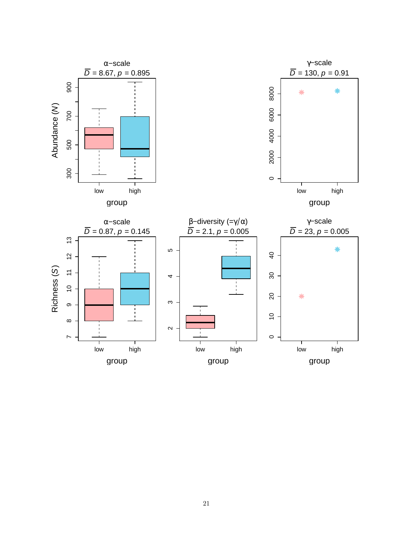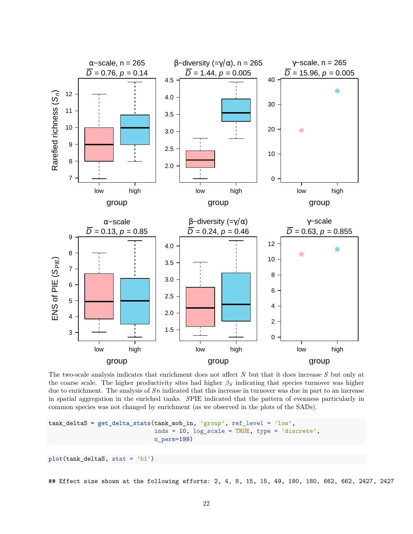

The two-scale analysis indicates that enrichment does not affect *N* but that it does increase *S* but only at the coarse scale. The higher productivity sites had higher  $\beta_S$  indicating that species turnover was higher due to enrichment. The analysis of *Sn* indicated that this increase in turnover was due in part to an increase in spatial aggregation in the enriched tanks. *S*PIE indicated that the pattern of evenness particularly in common species was not changed by enrichment (as we observed in the plots of the SADs).

```
tank_deltaS = get_delta_stats(tank_mob_in, 'group', ref_level = 'low',
                              inds = 10, log_scale = TRUE, type = 'discrete',
                              n_perm=199)
```
**plot**(tank\_deltaS, stat = 'b1')

## Effect size shown at the following efforts: 2, 4, 8, 15, 15, 49, 180, 180, 662, 662, 2427, 2427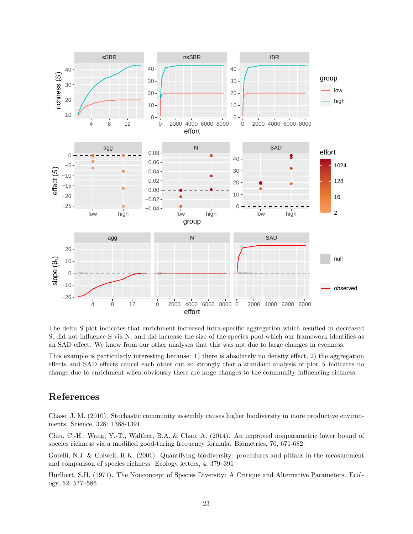

The delta S plot indicates that enrichment increased intra-specific aggregation which resulted in decreased S, did not influence S via N, and did increase the size of the species pool which our framework identifies as an SAD effect. We know from our other analyses that this was not due to large changes in evenness.

This example is particularly interesting because: 1) there is absolutely no density effect, 2) the aggregation effects and SAD effects cancel each other out so strongly that a standard analysis of plot *S* indicates no change due to enrichment when obviously there are large changes to the community influencing richness.

# **References**

Chase, J. M. (2010). Stochastic community assembly causes higher biodiversity in more productive environments. Science, 328: 1388-1391.

Chiu, C.-H., Wang, Y.-T., Walther, B.A. & Chao, A. (2014). An improved nonparametric lower bound of species richness via a modified good-turing frequency formula. Biometrics, 70, 671-682.

Gotelli, N.J. & Colwell, R.K. (2001). Quantifying biodiversity: procedures and pitfalls in the measurement and comparison of species richness. Ecology letters, 4, 379–391

Hurlbert, S.H. (1971). The Nonconcept of Species Diversity: A Critique and Alternative Parameters. Ecology, 52, 577–586